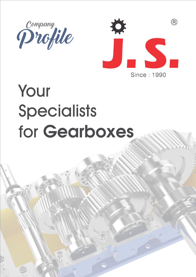



# Your **Specialists** for Gearboxes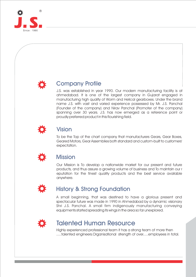



### Company Profile

J.S. was established in year 1990. Our modern manufacturing facility is at ahmedabad. It is one of the largest company in Gujarat engaged in manufacturing high quality of Worm and Helical gearboxes. Under the brand name J.S. with vast and varied experience possessed by Mr. J.S. Panchal (Founder of the company) and Nirav Panchal (Promoter of the company) spanning over 30 years. J.S. has now emerged as a reference point or proudly preferred product in this flourishing field.



## Vision

To be the Top of the chart company that manufacturers Gears, Gear Boxes, Geared Motors, Gear Assemblies both standard and custom-built to customers' expectation.



### Mission

Our Mission is To develop a nationwide market for our present and future products, and thus assure a growing volume of business and To maintain our r eputation for the finest quality products and the best service available anywhere.



## History & Strong Foundation

A small beginning, that was destined to have a glorious present and spectacular future was made in 1990 in Ahmedabad by a dynamic visionary Shri J.S. Panchal. A small firm indigenously manufacturing conveying equipments started spreading its wings in the area so far unexplored.

## Talented Human Resource

Highly experienced professional team it has a strong team of more then .....talented engineers.Organisational strength of over.....employees in total.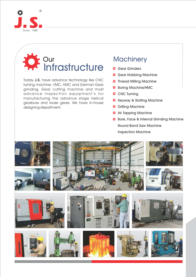

## **Our Infrastructure**

Today J.S. have advance technology like CNC turning machine, VMC, HMC and German Gear grinding, Gear cutting machine and most advance inspection equipment's for manufacturing the advance stage Helical gearboxs and loose gears. We have in-house designing department.

## **Machinery**

- Gear Grinders
- $\bigoplus$  Gear Hobbing Machine
- **Thread Milling Machine**
- ❖ Boring Machine/HMC
- **♦ CNC Turning**
- **Keyway & Slotting Machine**
- $⊉$  Drilling Machine
- **Air Tapping Machine**
- **Bore, Face & Internal Grinding Machine** Round Band Saw Machine Inspection Machine

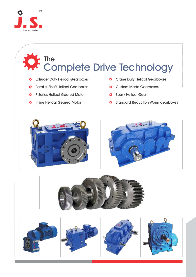

## Complete Drive Technology The

- ♦ Extruder Duty Helical Gearboxes
- Parallel Shaft Helical Gearboxes Ö
- F-Series Helical Geared Motor  $\ddot{\mathbf{Q}}$
- $\ddot{\phi}$  Inline Helical Geared Motor
- Crane Duty Helical Gearboxes
- Custom Made Gearboxes
- Spur / Helical Gear
- **Standard Reduction Worm gearboxes**







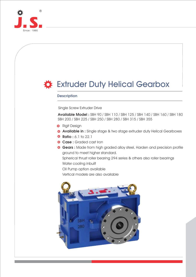

# **Extruder Duty Helical Gearbox**

#### **Description**

Single Screw Extruder Drive

Available Model : SBH 90 / SBH 110 / SBH 125 / SBH 140 / SBH 160 / SBH 180 SBH 200 / SBH 225 / SBH 250 / SBH 280 / SBH 315 / SBH 355

- **\*** Rigit Design
- **Available in :** Single stage & two stage extruder duty Helical Gearboxes
- $\ddot{\Phi}$  Ratio : 6.1 to 22.1
- Case : Graded cast Iron
- Gears : Made from high graded alloy steel, Harden and precision profile ground to meet higher standard.

Spherical thrust roller bearing 294 series & others also roller bearings Water cooling inbuilt

Oil Pump option available

Vertical models are also available

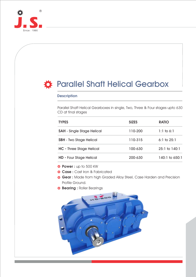

# Parallel Shaft Helical Gearbox

#### **Description**

Parallel Shaft Helical Gearboxes in single, Two, Three & Four stages upto 630 CD at final stages

| <b>TYPES</b>                      | <b>SIZES</b> | <b>RATIO</b>      |
|-----------------------------------|--------------|-------------------|
| <b>SAH</b> - Single Stage Helical | 110-200      | 1:1 to $6:1$      |
| <b>SBH</b> - Two Stage Helical    | 110-315      | 6:1 to $25:1$     |
| <b>HC</b> - Three Stage Helical   | 100-630      | $25:1$ to $140:1$ |
| <b>HD - Four Stage Helical</b>    | 200-630      | 140:1 to 650:1    |

Power : up to 500 KW

- $\triangle$  **Case :** Cast Iron & Fabricated
- $\bullet$  **Gear** : Made from high Graded Alloy Steel, Case Harden and Precision Profile Ground.
- Bearing : Roller Bearings

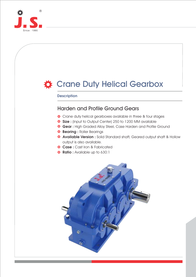

# Crane Duty Helical Gearbox

#### **Description**

### Harden and Profile Ground Gears

- $\hat{\Phi}$  Crane duty helical gearboxes available in three & four stages
- Size : (Input to Output Center) 250 to 1200 MM available
- **Gear** : High Graded Alloy Steel, Case Harden and Profile Ground
- Bearing : Roller Bearings
- Available Version : Solid Standard shaft, Geared output shaft & Hollow output is also available.
- $\hat{$  **Case :** Cast Iron & Fabricated
- Ratio: Available up to 630:1

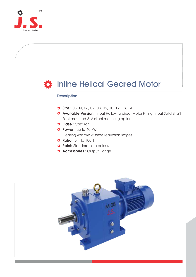

# $\bullet$  Inline Helical Geared Motor  $\hat{$  **\$ize** : 03,04, 06, 07, 08, 09, 10, 12, 13, 14 Available Version : Input Hollow to direct Motor Fitting, Input Solid Shaft, Foot mounted & Vertical mounting option Case : Cast Iron Power : up to 40 KW Gearing with two & three reduction stages **Ratio :** 5:1 to 100:1 **Paint:** Standard blue colour. Accessories : Output Flange **Description**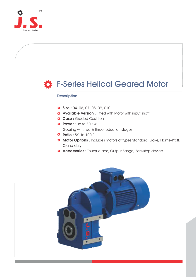

# **卷 F-Series Helical Geared Motor**  $\bullet$  **Size** : 04, 06, 07, 08, 09, 010 **Available Version :** Fitted with Motor with input shaft Case : Graded Cast Iron Power : up to 30 KW Gearing with two & three reduction stages **Ratio :** 5:1 to 100:1 **Motor Options :** Includes motors of types Standard, Brake, Flame-Proff, Crane-duty **Accessories :** Tourque arm, Output flange, Backstop device **Description**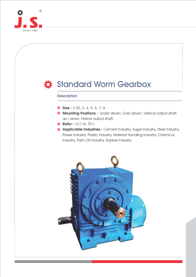

## Standard Worm Gearbox

#### **Description**

- $\bullet$  Size : 2.25, 3, 4, 5, 6, 7, 8
- **Mounting Positions** : Under driven, Over driven, Vertical output shaft up / down, Hollow output shaft.
- $★$  **Ratio : 10:1 to 70:1**
- **Applicable Industries** : Cement Industry, Sugar Industry, Steel Industry, Power Industry, Plastic Industry, Material Handling Industry, Chemical Industry, Palm Oil Industry, Rubber Industry.

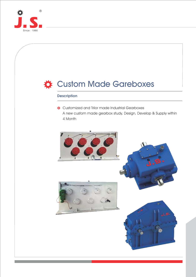

# Custom Made Gareboxes

#### **Description**

 $\bullet$  Customized and Trilor made Industrial Gearboxes A new custom made gearbox study, Design, Develop & Supply within 4 Month

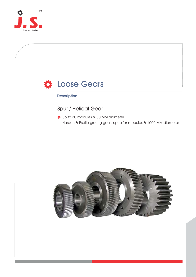